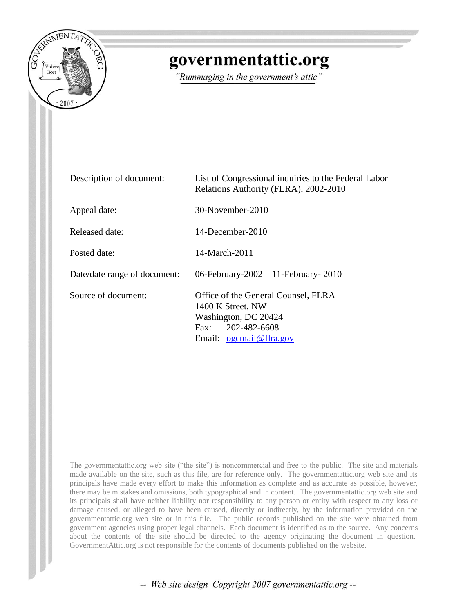

## governmentattic.org

"Rummaging in the government's attic"

| Description of document:     | List of Congressional inquiries to the Federal Labor<br>Relations Authority (FLRA), 2002-2010                                      |
|------------------------------|------------------------------------------------------------------------------------------------------------------------------------|
| Appeal date:                 | 30-November-2010                                                                                                                   |
| Released date:               | 14-December-2010                                                                                                                   |
| Posted date:                 | 14-March-2011                                                                                                                      |
| Date/date range of document: | 06-February-2002 - 11-February-2010                                                                                                |
| Source of document:          | Office of the General Counsel, FLRA<br>1400 K Street, NW<br>Washington, DC 20424<br>Fax: 202-482-6608<br>Email: $ogcmail@flra.gov$ |

The governmentattic.org web site ("the site") is noncommercial and free to the public. The site and materials made available on the site, such as this file, are for reference only. The governmentattic.org web site and its principals have made every effort to make this information as complete and as accurate as possible, however, there may be mistakes and omissions, both typographical and in content. The governmentattic.org web site and its principals shall have neither liability nor responsibility to any person or entity with respect to any loss or damage caused, or alleged to have been caused, directly or indirectly, by the information provided on the governmentattic.org web site or in this file. The public records published on the site were obtained from government agencies using proper legal channels. Each document is identified as to the source. Any concerns about the contents of the site should be directed to the agency originating the document in question. GovernmentAttic.org is not responsible for the contents of documents published on the website.

-- Web site design Copyright 2007 governmentattic.org --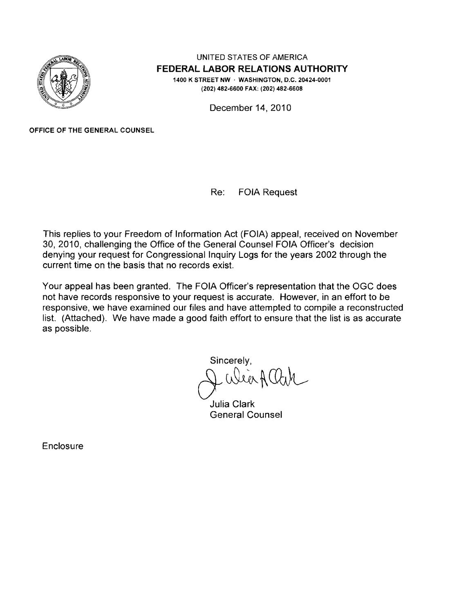

UNITED STATES OF AMERICA **FEDERAL LABOR RELATIONS AUTHORITY**  1400 K STREET NW · WASHINGTON, D.C. 20424-0001 (202) 482-6600 FAX: (202) 482-6608

December 14, 2010

OFFICE OF THE GENERAL COUNSEL

Re: FOIA Request

This replies to your Freedom of Information Act (FOIA) appeal. received on November 30, 2010, challenging the Office of the General Counsel FOIA Officer's decision denying your request for Congressional Inquiry Logs for the years 2002 through the current time on the basis that no records exist.

Your appeal has been granted. The FOIA Officer's representation that the OGC does not have records responsive to your request is accurate. However, in an effort to be responsive, we have examined our files and have attempted to compile a reconstructed list. (Attached). We have made a good faith effort to ensure that the list is as accurate as possible.

Sincerely, eer#4

Julia Clark General Counsel

**Enclosure**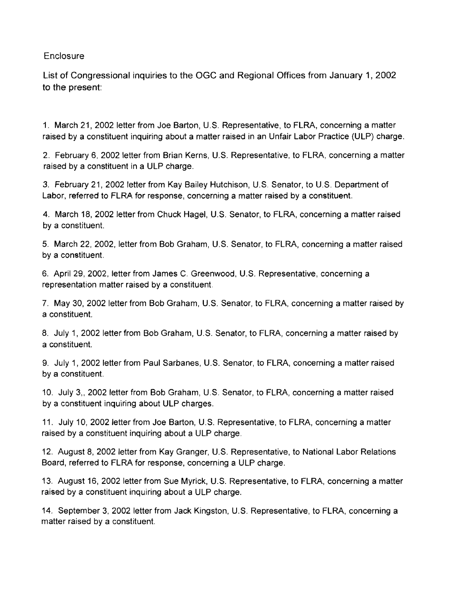## **Enclosure**

List of Congressional inquiries to the OGC and Regional Offices from January 1, 2002 to the present:

1. March 21, 2002 letter from Joe Barton, U.S. Representative, to FLRA, concerning a matter raised by a constituent inquiring about a matter raised in an Unfair Labor Practice (ULP) charge.

2. February 6, 2002 letter from Brian Kerns, U.S. Representative, to FLRA, concerning a matter raised by a constituent in a ULP charge.

3. February 21, 2002 letter from Kay Bailey Hutchison, U.S. Senator, to U.S. Department of Labor, referred to FLRA for response, concerning a matter raised by a constituent.

4. March 18, 2002 letter from Chuck Hagel, U.S. Senator, to FLRA, concerning a matter raised by a constituent.

5. March 22, 2002, letter from Bob Graham, U.S. Senator, to FLRA, concerning a matter raised by a constituent.

6. April 29, 2002, letter from James C. Greenwood, U.S. Representative, concerning a representation matter raised by a constituent.

7. May 30, 2002 letter from Bob Graham, U.S. Senator, to FLRA, concerning a matter raised by a constituent.

8. July 1, 2002 letter from Bob Graham, U.S. Senator, to FLRA, concerning a matter raised by a constituent.

9. July 1, 2002 letter from Paul Sarbanes, U.S. Senator, to FLRA, concerning a matter raised by a constituent.

10. July 3, 2002 letter from Bob Graham, U.S. Senator, to FLRA, concerning a matter raised by a constituent inquiring about ULP charges.

11. July 10, 2002 letter from Joe Barton, U.S. Representative, to FLRA, concerning a matter raised by a constituent inquiring about a ULP charge.

12. August 8, 2002 letter from Kay Granger, U.S. Representative, to National Labor Relations Board, referred to FLRA for response, concerning a ULP charge.

13. August 16, 2002 letter from Sue Myrick, U.S. Representative, to FLRA, concerning a matter raised by a constituent inquiring about a ULP charge.

14. September 3, 2002 letter from Jack Kingston, U.S. Representative, to FLRA, concerning a matter raised by a constituent.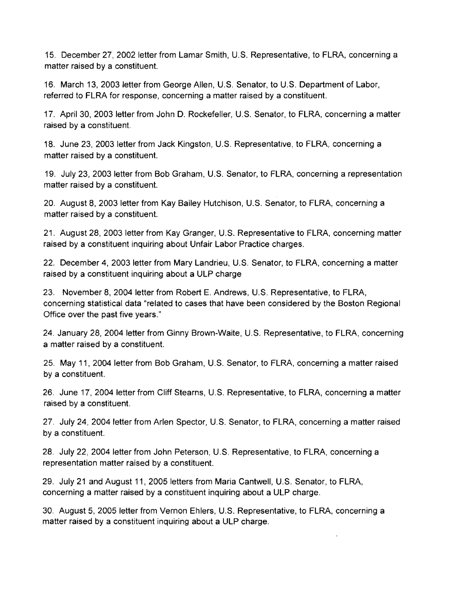15. December 27, 2002 letter from Lamar Smith, U.S. Representative, to FLRA, concerning a matter raised by a constituent.

16. March 13, 2003 letter from George Allen, U.S. Senator, to U.S. Department of Labor, referred to FLRA for response, concerning a matter raised by a constituent.

17. April30, 2003 letter from John D. Rockefeller, U.S. Senator, to FLRA, concerning a matter raised by a constituent.

18. June 23, 2003 letter from Jack Kingston, U.S. Representative, to FLRA, concerning a matter raised by a constituent.

19. July 23, 2003 letter from Bob Graham, U.S. Senator, to FLRA, concerning a representation matter raised by a constituent.

20. August 8, 2003 letter from Kay Bailey Hutchison, U.S. Senator, to FLRA, concerning a matter raised by a constituent.

21. August 28, 2003 letter from Kay Granger, U.S. Representative to FLRA, concerning matter raised by a constituent inquiring about Unfair Labor Practice charges.

22. December 4, 2003 letter from Mary Landrieu, U.S. Senator, to FLRA, concerning a matter raised by a constituent inquiring about a ULP charge

23. November 8, 2004 letter from Robert E. Andrews, U.S. Representative, to FLRA, concerning statistical data "related to cases that have been considered by the Boston Regional Office over the past five years."

24. January 28, 2004 letter from Ginny Brown-Waite, U.S. Representative, to FLRA, concerning a matter raised by a constituent.

25. May 11, 2004 letter from Bob Graham, U.S. Senator, to FLRA, concerning a matter raised by a constituent.

26. June 17, 2004 letter from Cliff Stearns, U.S. Representative, to FLRA, concerning a matter raised by a constituent.

27. July 24, 2004 letter from Arlen Spector, U.S. Senator, to FLRA, concerning a matter raised by a constituent.

28. July 22, 2004 letter from John Peterson, U.S. Representative, to FLRA, concerning a representation matter raised by a constituent.

29. July 21 and August 11, 2005 letters from Maria Cantwell, U.S. Senator, to FLRA, concerning a matter raised by a constituent inquiring about a ULP charge.

30. August 5, 2005 letter from Vernon Ehlers, U.S. Representative, to FLRA, concerning a matter raised by a constituent inquiring about a ULP charge.